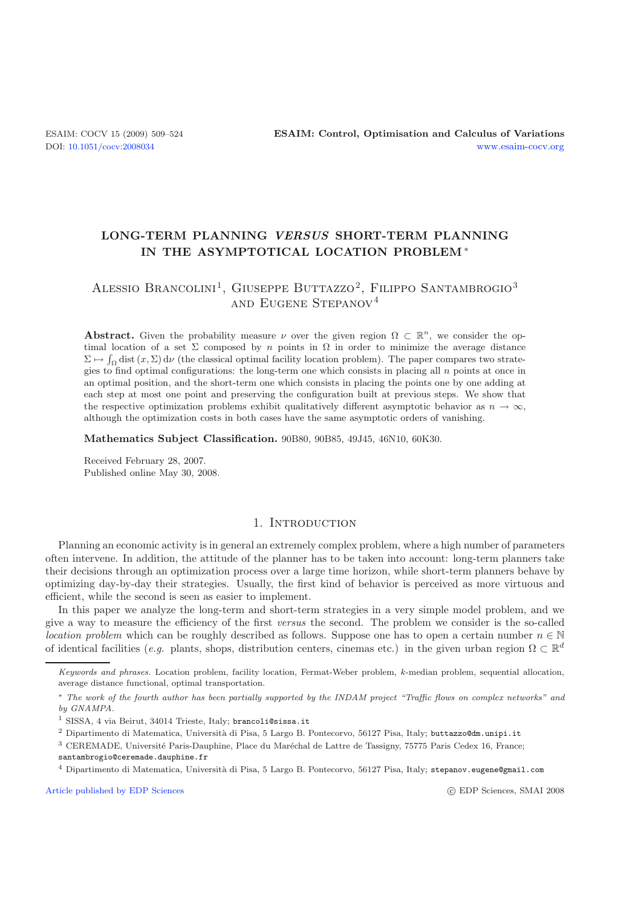## **LONG-TERM PLANNING** *VERSUS* **SHORT-TERM PLANNING IN THE ASYMPTOTICAL LOCATION PROBLEM** ∗

# ALESSIO BRANCOLINI<sup>1</sup>, GIUSEPPE BUTTAZZO<sup>2</sup>, FILIPPO SANTAMBROGIO<sup>3</sup> and Eugene Stepanov<sup>4</sup>

**Abstract.** Given the probability measure  $\nu$  over the given region  $\Omega \subset \mathbb{R}^n$ , we consider the optimal location of a set  $\Sigma$  composed by n points in  $\Omega$  in order to minimize the average distance  $\Sigma \mapsto \int_{\Omega} \text{dist}(x, \Sigma) d\nu$  (the classical optimal facility location problem). The paper compares two strategies to find optimal configurations: the long-term one which consists in placing all n points at once in an optimal position, and the short-term one which consists in placing the points one by one adding at each step at most one point and preserving the configuration built at previous steps. We show that the respective optimization problems exhibit qualitatively different asymptotic behavior as  $n \to \infty$ , although the optimization costs in both cases have the same asymptotic orders of vanishing.

**Mathematics Subject Classification.** 90B80, 90B85, 49J45, 46N10, 60K30.

Received February 28, 2007. Published online May 30, 2008.

## 1. INTRODUCTION

Planning an economic activity is in general an extremely complex problem, where a high number of parameters often intervene. In addition, the attitude of the planner has to be taken into account: long-term planners take their decisions through an optimization process over a large time horizon, while short-term planners behave by optimizing day-by-day their strategies. Usually, the first kind of behavior is perceived as more virtuous and efficient, while the second is seen as easier to implement.

In this paper we analyze the long-term and short-term strategies in a very simple model problem, and we give a way to measure the efficiency of the first *versus* the second. The problem we consider is the so-called *location problem* which can be roughly described as follows. Suppose one has to open a certain number  $n \in \mathbb{N}$ of identical facilities (*e.g.* plants, shops, distribution centers, cinemas etc.) in the given urban region  $\Omega \subset \mathbb{R}^d$ 

Keywords and phrases. Location problem, facility location, Fermat-Weber problem, *k*-median problem, sequential allocation, average distance functional, optimal transportation.

<sup>∗</sup> The work of the fourth author has been partially supported by the INDAM project "Traffic flows on complex networks" and by GNAMPA.

<sup>1</sup> SISSA, 4 via Beirut, 34014 Trieste, Italy; brancoli@sissa.it

 $2$  Dipartimento di Matematica, Università di Pisa, 5 Largo B. Pontecorvo, 56127 Pisa, Italy; buttazzo@dm.unipi.it

<sup>&</sup>lt;sup>3</sup> CEREMADE, Université Paris-Dauphine, Place du Maréchal de Lattre de Tassigny, 75775 Paris Cedex 16, France;

santambrogio@ceremade.dauphine.fr

<sup>4</sup> Dipartimento di Matematica, Università di Pisa, 5 Largo B. Pontecorvo, 56127 Pisa, Italy; stepanov.eugene@gmail.com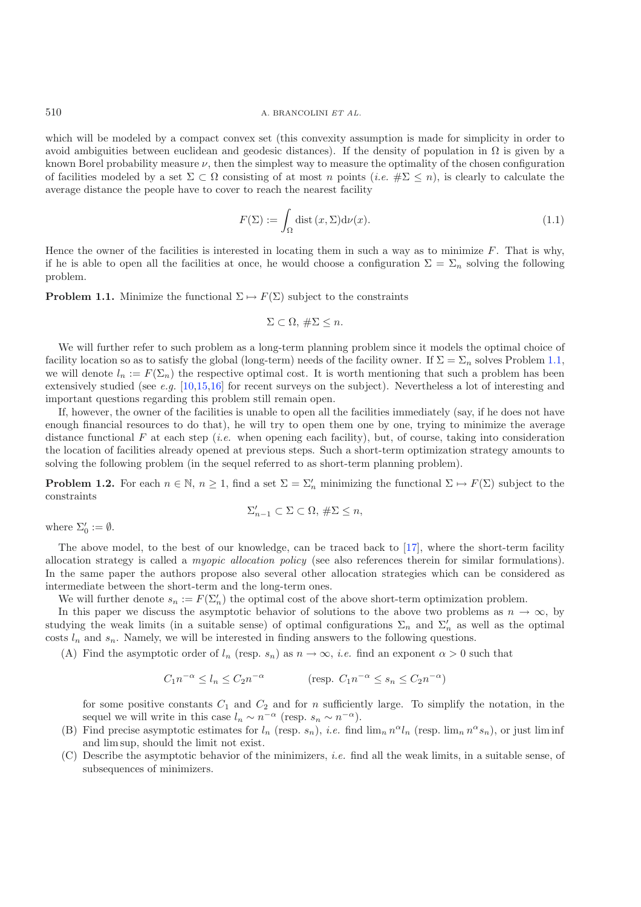which will be modeled by a compact convex set (this convexity assumption is made for simplicity in order to avoid ambiguities between euclidean and geodesic distances). If the density of population in  $\Omega$  is given by a known Borel probability measure  $\nu$ , then the simplest way to measure the optimality of the chosen configuration of facilities modeled by a set  $\Sigma \subset \Omega$  consisting of at most n points (*i.e.*  $\#\Sigma \leq n$ ), is clearly to calculate the average distance the people have to cover to reach the nearest facility

$$
F(\Sigma) := \int_{\Omega} \text{dist}\,(x,\Sigma) \mathrm{d}\nu(x). \tag{1.1}
$$

Hence the owner of the facilities is interested in locating them in such a way as to minimize  $F$ . That is why, if he is able to open all the facilities at once, he would choose a configuration  $\Sigma = \Sigma_n$  solving the following problem.

<span id="page-1-0"></span>**Problem 1.1.** Minimize the functional  $\Sigma \mapsto F(\Sigma)$  subject to the constraints

$$
\Sigma \subset \Omega, \,\#\Sigma \leq n.
$$

We will further refer to such problem as a long-term planning problem since it models the optimal choice of facility location so as to satisfy the global (long-term) needs of the facility owner. If  $\Sigma = \Sigma_n$  solves Problem [1.1,](#page-1-0) we will denote  $l_n := F(\Sigma_n)$  the respective optimal cost. It is worth mentioning that such a problem has been extensively studied (see *e.g.* [\[10](#page-15-0)[,15](#page-15-1)[,16](#page-15-2)] for recent surveys on the subject). Nevertheless a lot of interesting and important questions regarding this problem still remain open.

If, however, the owner of the facilities is unable to open all the facilities immediately (say, if he does not have enough financial resources to do that), he will try to open them one by one, trying to minimize the average distance functional F at each step (*i.e.* when opening each facility), but, of course, taking into consideration the location of facilities already opened at previous steps. Such a short-term optimization strategy amounts to solving the following problem (in the sequel referred to as short-term planning problem).

<span id="page-1-1"></span>**Problem 1.2.** For each  $n \in \mathbb{N}$ ,  $n \geq 1$ , find a set  $\Sigma = \Sigma'_n$  minimizing the functional  $\Sigma \mapsto F(\Sigma)$  subject to the constraints

$$
\Sigma'_{n-1} \subset \Sigma \subset \Omega, \#\Sigma \le n,
$$

where  $\Sigma'_0 := \emptyset$ .

The above model, to the best of our knowledge, can be traced back to  $[17]$ , where the short-term facility allocation strategy is called a *myopic allocation policy* (see also references therein for similar formulations). In the same paper the authors propose also several other allocation strategies which can be considered as intermediate between the short-term and the long-term ones.

We will further denote  $s_n := F(\Sigma'_n)$  the optimal cost of the above short-term optimization problem.

In this paper we discuss the asymptotic behavior of solutions to the above two problems as  $n \to \infty$ , by studying the weak limits (in a suitable sense) of optimal configurations  $\Sigma_n$  and  $\Sigma'_n$  as well as the optimal costs  $l_n$  and  $s_n$ . Namely, we will be interested in finding answers to the following questions.

(A) Find the asymptotic order of  $l_n$  (resp.  $s_n$ ) as  $n \to \infty$ , *i.e.* find an exponent  $\alpha > 0$  such that

$$
C_1 n^{-\alpha} \le l_n \le C_2 n^{-\alpha} \qquad \qquad (\text{resp. } C_1 n^{-\alpha} \le s_n \le C_2 n^{-\alpha})
$$

for some positive constants  $C_1$  and  $C_2$  and for n sufficiently large. To simplify the notation, in the sequel we will write in this case  $l_n \sim n^{-\alpha}$  (resp.  $s_n \sim n^{-\alpha}$ ).

- (B) Find precise asymptotic estimates for  $l_n$  (resp.  $s_n$ ), *i.e.* find  $\lim_n n^\alpha l_n$  (resp.  $\lim_n n^\alpha s_n$ ), or just  $\liminf$ and lim sup, should the limit not exist.
- (C) Describe the asymptotic behavior of the minimizers, *i.e.* find all the weak limits, in a suitable sense, of subsequences of minimizers.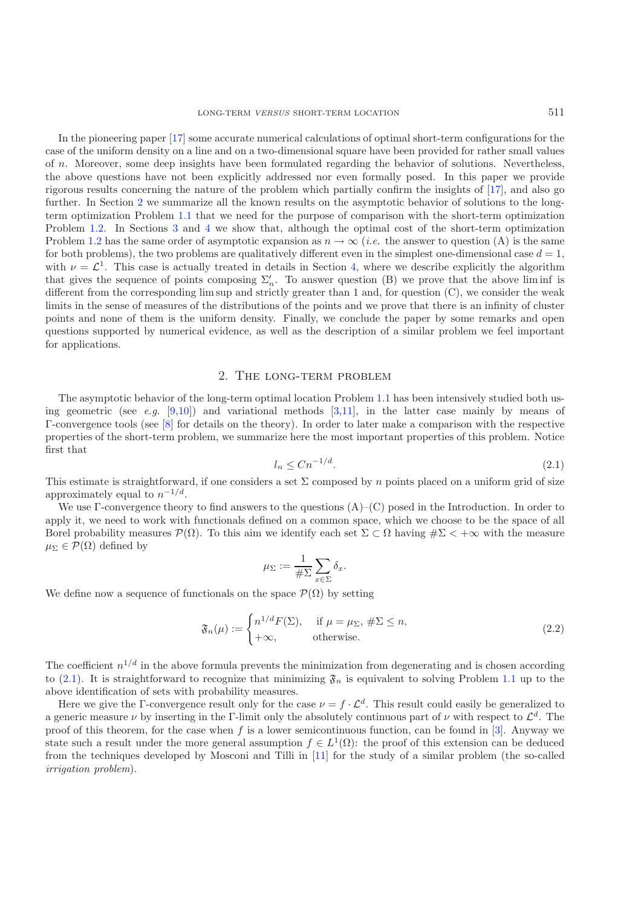In the pioneering paper [\[17\]](#page-15-3) some accurate numerical calculations of optimal short-term configurations for the case of the uniform density on a line and on a two-dimensional square have been provided for rather small values of n. Moreover, some deep insights have been formulated regarding the behavior of solutions. Nevertheless, the above questions have not been explicitly addressed nor even formally posed. In this paper we provide rigorous results concerning the nature of the problem which partially confirm the insights of [\[17\]](#page-15-3), and also go further. In Section [2](#page-2-0) we summarize all the known results on the asymptotic behavior of solutions to the longterm optimization Problem [1.1](#page-1-0) that we need for the purpose of comparison with the short-term optimization Problem [1.2.](#page-1-1) In Sections [3](#page-4-0) and [4](#page-6-0) we show that, although the optimal cost of the short-term optimization Problem [1.2](#page-1-1) has the same order of asymptotic expansion as  $n \to \infty$  (*i.e.* the answer to question (A) is the same for both problems), the two problems are qualitatively different even in the simplest one-dimensional case  $d = 1$ , with  $\nu = \mathcal{L}^1$ . This case is actually treated in details in Section [4,](#page-6-0) where we describe explicitly the algorithm that gives the sequence of points composing  $\Sigma_n'$ . To answer question (B) we prove that the above liminf is different from the corresponding  $\limsup$  and strictly greater than 1 and, for question  $(C)$ , we consider the weak limits in the sense of measures of the distributions of the points and we prove that there is an infinity of cluster points and none of them is the uniform density. Finally, we conclude the paper by some remarks and open questions supported by numerical evidence, as well as the description of a similar problem we feel important for applications.

## <span id="page-2-1"></span>2. The long-term problem

<span id="page-2-0"></span>The asymptotic behavior of the long-term optimal location Problem [1.1](#page-1-0) has been intensively studied both using geometric (see *e.g.* [\[9](#page-15-4)[,10\]](#page-15-0)) and variational methods [\[3](#page-15-5)[,11](#page-15-6)], in the latter case mainly by means of Γ-convergence tools (see [\[8](#page-15-7)] for details on the theory). In order to later make a comparison with the respective properties of the short-term problem, we summarize here the most important properties of this problem. Notice first that

$$
l_n \le Cn^{-1/d}.\tag{2.1}
$$

<span id="page-2-2"></span>This estimate is straightforward, if one considers a set  $\Sigma$  composed by n points placed on a uniform grid of size approximately equal to  $n^{-1/d}$ .

We use Γ-convergence theory to find answers to the questions (A)–(C) posed in the Introduction. In order to apply it, we need to work with functionals defined on a common space, which we choose to be the space of all Borel probability measures  $\mathcal{P}(\Omega)$ . To this aim we identify each set  $\Sigma \subset \Omega$  having  $\#\Sigma < +\infty$  with the measure  $\mu_{\Sigma} \in \mathcal{P}(\Omega)$  defined by

$$
\mu_{\Sigma} := \frac{1}{\#\Sigma} \sum_{x \in \Sigma} \delta_x.
$$

We define now a sequence of functionals on the space  $\mathcal{P}(\Omega)$  by setting

$$
\mathfrak{F}_n(\mu) := \begin{cases} n^{1/d} F(\Sigma), & \text{if } \mu = \mu_{\Sigma}, \#\Sigma \le n, \\ +\infty, & \text{otherwise.} \end{cases}
$$
 (2.2)

The coefficient  $n^{1/d}$  in the above formula prevents the minimization from degenerating and is chosen according to [\(2.1\)](#page-2-1). It is straightforward to recognize that minimizing  $\mathfrak{F}_n$  is equivalent to solving Problem [1.1](#page-1-0) up to the above identification of sets with probability measures.

<span id="page-2-3"></span>Here we give the Γ-convergence result only for the case  $\nu = f \cdot \mathcal{L}^d$ . This result could easily be generalized to a generic measure  $\nu$  by inserting in the Γ-limit only the absolutely continuous part of  $\nu$  with respect to  $\mathcal{L}^d$ . The proof of this theorem, for the case when f is a lower semicontinuous function, can be found in [\[3](#page-15-5)]. Anyway we state such a result under the more general assumption  $f \in L^1(\Omega)$ : the proof of this extension can be deduced from the techniques developed by Mosconi and Tilli in [\[11\]](#page-15-6) for the study of a similar problem (the so-called *irrigation problem*).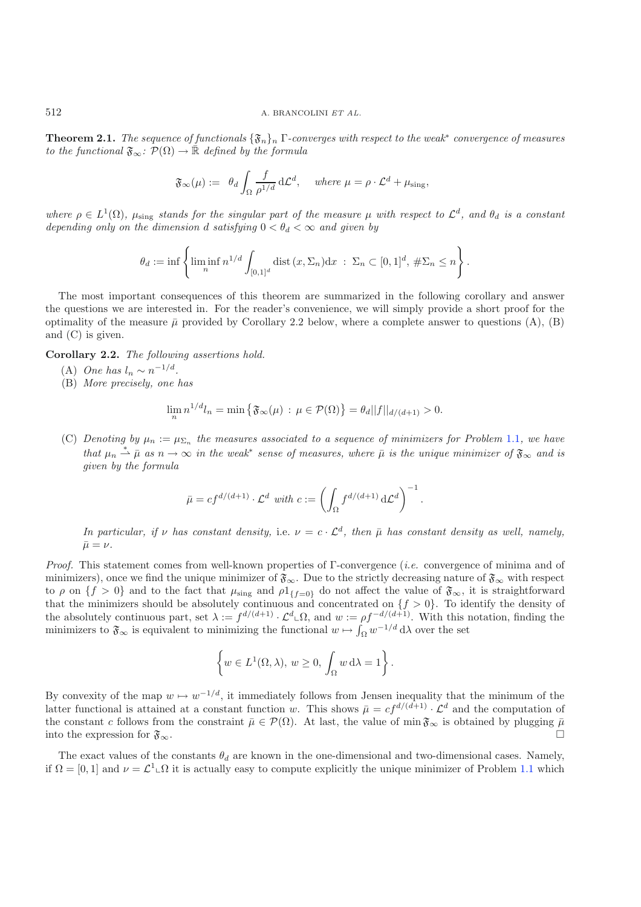**Theorem 2.1.** *The sequence of functionals* {Fn}<sup>n</sup> Γ*-converges with respect to the weak*<sup>∗</sup> *convergence of measures to the functional*  $\mathfrak{F}_{\infty}$ :  $\mathcal{P}(\Omega) \to \mathbb{R}$  *defined by the formula* 

$$
\mathfrak{F}_{\infty}(\mu) := \theta_d \int_{\Omega} \frac{f}{\rho^{1/d}} d\mathcal{L}^d, \quad \text{where } \mu = \rho \cdot \mathcal{L}^d + \mu_{\text{sing}},
$$

*where*  $\rho \in L^1(\Omega)$ ,  $\mu_{sing}$  *stands for the singular part of the measure*  $\mu$  *with respect to*  $\mathcal{L}^d$ *, and*  $\theta_d$  *is a constant depending only on the dimension* d *satisfying*  $0 < \theta_d < \infty$  *and given by* 

$$
\theta_d := \inf \left\{ \liminf_{n} n^{1/d} \int_{[0,1]^d} \text{dist} \left( x, \Sigma_n \right) \, \mathrm{d}x \; : \; \Sigma_n \subset [0,1]^d, \; \# \Sigma_n \leq n \right\}.
$$

The most important consequences of this theorem are summarized in the following corollary and answer the questions we are interested in. For the reader's convenience, we will simply provide a short proof for the optimality of the measure  $\bar{\mu}$  provided by Corollary 2.2 below, where a complete answer to questions (A), (B) and (C) is given.

<span id="page-3-0"></span>**Corollary 2.2.** *The following assertions hold.*

- (A) *One has*  $l_n \sim n^{-1/d}$ .
- (B) *More precisely, one has*

$$
\lim_{n} n^{1/d} l_{n} = \min \{ \mathfrak{F}_{\infty}(\mu) : \mu \in \mathcal{P}(\Omega) \} = \theta_{d} ||f||_{d/(d+1)} > 0.
$$

(C) *Denoting by*  $\mu_n := \mu_{\Sigma_n}$  *the measures associated to a sequence of minimizers for Problem* [1.1](#page-1-0)*, we have that*  $\mu_n \stackrel{*}{\rightharpoonup} \bar{\mu}$  *as*  $n \to \infty$  *in the weak*<sup>\*</sup> *sense of measures, where*  $\bar{\mu}$  *is the unique minimizer of*  $\mathfrak{F}_{\infty}$  *and is given by the formula*

$$
\bar{\mu} = cf^{d/(d+1)} \cdot \mathcal{L}^d \text{ with } c := \left( \int_{\Omega} f^{d/(d+1)} d\mathcal{L}^d \right)^{-1}.
$$

*In particular, if*  $\nu$  *has constant density,* i.e.  $\nu = c \cdot \mathcal{L}^d$ , then  $\bar{\mu}$  *has constant density as well, namely,*  $\bar{\mu} = \nu$ .

*Proof.* This statement comes from well-known properties of Γ-convergence (*i.e.* convergence of minima and of minimizers), once we find the unique minimizer of  $\mathfrak{F}_{\infty}$ . Due to the strictly decreasing nature of  $\mathfrak{F}_{\infty}$  with respect to  $\rho$  on  $\{f > 0\}$  and to the fact that  $\mu_{sing}$  and  $\rho 1_{\{f=0\}}$  do not affect the value of  $\mathfrak{F}_{\infty}$ , it is straightforward that the minimizers should be absolutely continuous and concentrated on  $\{f > 0\}$ . To identify the density of the absolutely continuous part, set  $\lambda := f^{d/(d+1)} \cdot \mathcal{L}^d \mathcal{L} \Omega$ , and  $w := \rho f^{-d/(d+1)}$ . With this notation, finding the minimizers to  $\mathfrak{F}_{\infty}$  is equivalent to minimizing the functional  $w \mapsto \int_{\Omega} w^{-1/d} d\lambda$  over the set

$$
\left\{ w \in L^{1}(\Omega, \lambda), w \ge 0, \int_{\Omega} w \, d\lambda = 1 \right\}.
$$

By convexity of the map  $w \mapsto w^{-1/d}$ , it immediately follows from Jensen inequality that the minimum of the latter functional is attained at a constant function w. This shows  $\bar{\mu} = cf^{d/(d+1)} \cdot \mathcal{L}^d$  and the computation of the constant c follows from the constraint  $\bar{\mu} \in \mathcal{P}(\Omega)$ . At last, the value of min  $\mathfrak{F}_{\infty}$  is obtained by plugging  $\bar{\mu}$ into the expression for  $\mathfrak{F}_{\infty}$ .

The exact values of the constants  $\theta_d$  are known in the one-dimensional and two-dimensional cases. Namely, if  $\Omega = [0,1]$  and  $\nu = \mathcal{L}^1 \Box \Omega$  it is actually easy to compute explicitly the unique minimizer of Problem [1.1](#page-1-0) which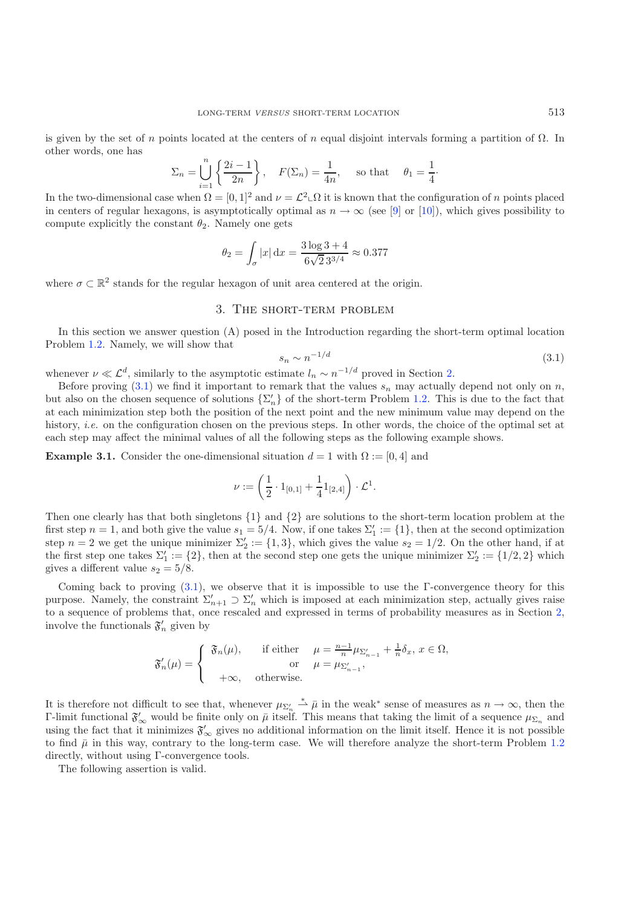is given by the set of n points located at the centers of n equal disjoint intervals forming a partition of  $\Omega$ . In other words, one has

<span id="page-4-1"></span>
$$
\Sigma_n = \bigcup_{i=1}^n \left\{ \frac{2i-1}{2n} \right\}, \quad F(\Sigma_n) = \frac{1}{4n}, \quad \text{so that} \quad \theta_1 = \frac{1}{4}
$$

In the two-dimensional case when  $\Omega = [0,1]^2$  and  $\nu = \mathcal{L}^2 \Box \Omega$  it is known that the configuration of n points placed in centers of regular hexagons, is asymptotically optimal as  $n \to \infty$  (see [\[9\]](#page-15-4) or [\[10](#page-15-0)]), which gives possibility to compute explicitly the constant  $\theta_2$ . Namely one gets

$$
\theta_2 = \int_{\sigma} |x| \,dx = \frac{3\log 3 + 4}{6\sqrt{2} \,3^{3/4}} \approx 0.377
$$

<span id="page-4-0"></span>where  $\sigma \subset \mathbb{R}^2$  stands for the regular hexagon of unit area centered at the origin.

### 3. The short-term problem

In this section we answer question (A) posed in the Introduction regarding the short-term optimal location Problem [1.2.](#page-1-1) Namely, we will show that

$$
s_n \sim n^{-1/d} \tag{3.1}
$$

·

whenever  $\nu \ll \mathcal{L}^d$ , similarly to the asymptotic estimate  $l_n \sim n^{-1/d}$  proved in Section [2.](#page-2-0)

Before proving  $(3.1)$  we find it important to remark that the values  $s_n$  may actually depend not only on n, but also on the chosen sequence of solutions  $\{\Sigma'_n\}$  of the short-term Problem [1.2.](#page-1-1) This is due to the fact that at each minimization step both the position of the next point and the new minimum value may depend on the history, *i.e.* on the configuration chosen on the previous steps. In other words, the choice of the optimal set at each step may affect the minimal values of all the following steps as the following example shows.

**Example 3.1.** Consider the one-dimensional situation  $d = 1$  with  $\Omega := [0, 4]$  and

$$
\nu:=\left(\frac{1}{2}\cdot 1_{[0,1]}+\frac{1}{4}1_{[2,4]}\right)\cdot \mathcal{L}^1.
$$

Then one clearly has that both singletons {1} and {2} are solutions to the short-term location problem at the first step  $n = 1$ , and both give the value  $s_1 = 5/4$ . Now, if one takes  $\Sigma'_1 := \{1\}$ , then at the second optimization<br>step  $n = 2$  we get the unique minimizer  $\Sigma' := \{1, 3\}$  which gives the value  $s_2 = 1/2$ . On the other step  $n = 2$  we get the unique minimizer  $\Sigma_2' := \{1,3\}$ , which gives the value  $s_2 = 1/2$ . On the other hand, if at the first step one takes  $\Sigma' := \{2\}$ , then at the second step one gets the unique minimizer  $\Sigma' := \{1/2, 2$ the first step one takes  $\Sigma_1' := \{2\}$ , then at the second step one gets the unique minimizer  $\Sigma_2' := \{1/2, 2\}$  which gives a different value  $s_2 = 5/8$ .

Coming back to proving  $(3.1)$ , we observe that it is impossible to use the Γ-convergence theory for this purpose. Namely, the constraint  $\Sigma'_{n+1} \supset \Sigma'_n$  which is imposed at each minimization step, actually gives raise<br>to a sequence of problems that once recepted and expressed in terms of probability massures as in Section to a sequence of problems that, once rescaled and expressed in terms of probability measures as in Section [2,](#page-2-0) involve the functionals  $\mathfrak{F}'_n$  given by

$$
\mathfrak{F}'_n(\mu) = \begin{cases} \n\mathfrak{F}_n(\mu), & \text{if either } \mu = \frac{n-1}{n} \mu_{\Sigma'_{n-1}} + \frac{1}{n} \delta_x, \ x \in \Omega, \\ \n\text{or } \mu = \mu_{\Sigma'_{n-1}}, \\ \n+\infty, & \text{otherwise.} \n\end{cases}
$$

It is therefore not difficult to see that, whenever  $\mu_{\Sigma'_h} \stackrel{*}{\to} \bar{\mu}$  in the weak<sup>\*</sup> sense of measures as  $n \to \infty$ , then the Γ-limit functional  $\mathfrak{F}'_{\infty}$  would be finite only on  $\bar{\mu}$  itself. This means that taking the limit of a sequence  $\mu_{\Sigma_n}$  and using the feat that it minimizes  $\mathfrak{F}'$ , gives no additional information on the li using the fact that it minimizes  $\mathfrak{F}'_{\infty}$  gives no additional information on the limit itself. Hence it is not possible to find  $\bar{\mu}$  in this way, contrary to the long-term case. We will therefore analyze the short-term Problem [1.2](#page-1-1) directly, without using Γ-convergence tools.

<span id="page-4-2"></span>The following assertion is valid.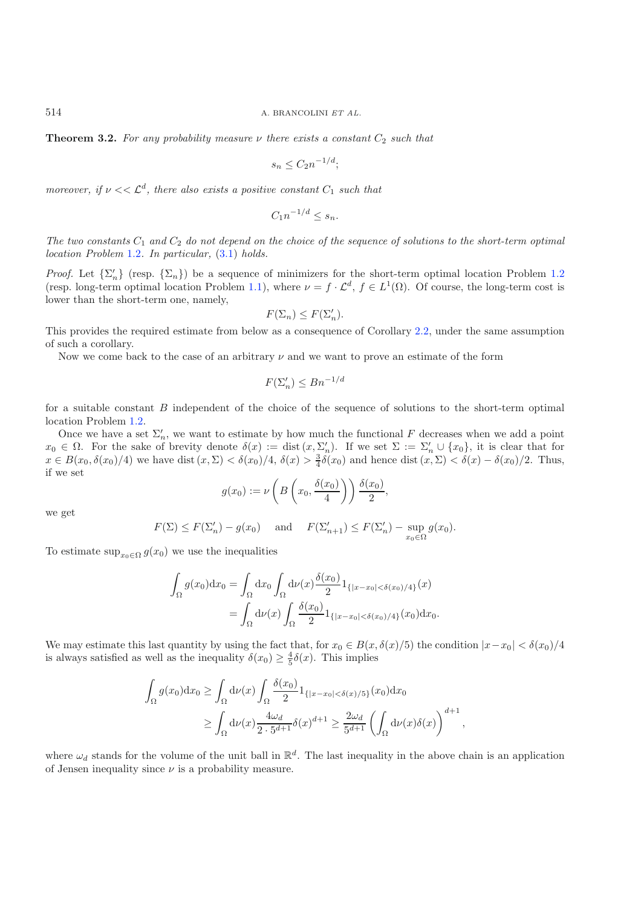**Theorem 3.2.** For any probability measure  $\nu$  there exists a constant  $C_2$  such that

$$
s_n \le C_2 n^{-1/d};
$$

*moreover, if*  $\nu \ll \mathcal{L}^d$ *, there also exists a positive constant*  $C_1$  *such that* 

$$
C_1 n^{-1/d} \le s_n.
$$

The two constants  $C_1$  and  $C_2$  do not depend on the choice of the sequence of solutions to the short-term optimal *location Problem* [1.2](#page-1-1)*. In particular,* [\(3.1\)](#page-4-1) *holds.*

*Proof.* Let  $\{\Sigma'_n\}$  (resp.  $\{\Sigma_n\}$ ) be a sequence of minimizers for the short-term optimal location Problem [1.2](#page-1-1) (resp. long-term optimal location Problem [1.1\)](#page-1-0), where  $\nu = f \cdot \mathcal{L}^d$ ,  $f \in L^1(\Omega)$ . Of course, the long-term cost is lower than the short-term one, namely,

$$
F(\Sigma_n) \le F(\Sigma_n').
$$

This provides the required estimate from below as a consequence of Corollary [2.2,](#page-3-0) under the same assumption of such a corollary.

Now we come back to the case of an arbitrary  $\nu$  and we want to prove an estimate of the form

$$
F(\Sigma'_n) \le Bn^{-1/d}
$$

for a suitable constant B independent of the choice of the sequence of solutions to the short-term optimal location Problem [1.2.](#page-1-1)

Once we have a set  $\Sigma_n'$ , we want to estimate by how much the functional F decreases when we add a point  $x_0 \in \Omega$ . For the sake of brevity denote  $\delta(x) := \text{dist}(x, \Sigma'_n)$ . If we set  $\Sigma := \Sigma'_n \cup \{x_0\}$ , it is clear that for  $x \in B(x_0, \delta(x_0)/4)$  we have dist  $(x, \Sigma) < \delta(x_0)/4$ ,  $\delta(x) > \frac{3}{4}\delta(x_0)$  and hence dist  $(x, \Sigma) < \delta(x) - \delta(x_0)/2$ . Thus, if we set

$$
g(x_0) := \nu\left(B\left(x_0, \frac{\delta(x_0)}{4}\right)\right)\frac{\delta(x_0)}{2},
$$

we get

$$
F(\Sigma) \le F(\Sigma'_n) - g(x_0) \quad \text{and} \quad F(\Sigma'_{n+1}) \le F(\Sigma'_n) - \sup_{x_0 \in \Omega} g(x_0).
$$

To estimate  $\sup_{x_0 \in \Omega} g(x_0)$  we use the inequalities

$$
\int_{\Omega} g(x_0) dx_0 = \int_{\Omega} dx_0 \int_{\Omega} d\nu(x) \frac{\delta(x_0)}{2} 1_{\{|x - x_0| < \delta(x_0)/4\}}(x)
$$
\n
$$
= \int_{\Omega} d\nu(x) \int_{\Omega} \frac{\delta(x_0)}{2} 1_{\{|x - x_0| < \delta(x_0)/4\}}(x_0) dx_0.
$$

We may estimate this last quantity by using the fact that, for  $x_0 \in B(x, \delta(x)/5)$  the condition  $|x-x_0| < \delta(x_0)/4$ is always satisfied as well as the inequality  $\delta(x_0) \geq \frac{4}{5}\delta(x)$ . This implies

$$
\int_{\Omega} g(x_0) dx_0 \ge \int_{\Omega} d\nu(x) \int_{\Omega} \frac{\delta(x_0)}{2} 1_{\{|x-x_0| < \delta(x)/5\}}(x_0) dx_0
$$
  

$$
\ge \int_{\Omega} d\nu(x) \frac{4\omega_d}{2 \cdot 5^{d+1}} \delta(x)^{d+1} \ge \frac{2\omega_d}{5^{d+1}} \left( \int_{\Omega} d\nu(x) \delta(x) \right)^{d+1},
$$

where  $\omega_d$  stands for the volume of the unit ball in  $\mathbb{R}^d$ . The last inequality in the above chain is an application of Jensen inequality since  $\nu$  is a probability measure.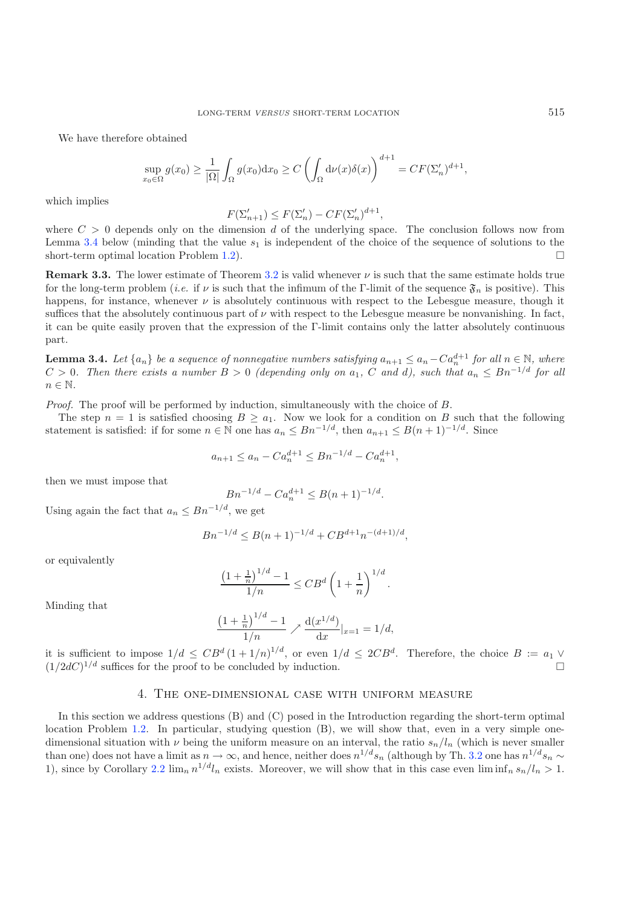We have therefore obtained

$$
\sup_{x_0 \in \Omega} g(x_0) \ge \frac{1}{|\Omega|} \int_{\Omega} g(x_0) dx_0 \ge C \left( \int_{\Omega} d\nu(x) \delta(x) \right)^{d+1} = CF(\Sigma_n')^{d+1},
$$

which implies

$$
F(\Sigma'_{n+1}) \leq F(\Sigma'_n) - CF(\Sigma'_n)^{d+1},
$$

 $F(\Sigma'_{n+1}) \leq F(\Sigma'_{n}) - CF(\Sigma'_{n})^{d+1}$ ,<br>where  $C > 0$  depends only on the dimension d of the underlying space. The conclusion follows now from Lemma [3.4](#page-6-1) below (minding that the value  $s_1$  is independent of the choice of the sequence of solutions to the short-term optimal location Problem 1.2). short-term optimal location Problem [1.2\)](#page-1-1).

**Remark 3.3.** The lower estimate of Theorem [3.2](#page-4-2) is valid whenever  $\nu$  is such that the same estimate holds true for the long-term problem (*i.e.* if  $\nu$  is such that the infimum of the Γ-limit of the sequence  $\mathfrak{F}_n$  is positive). This happens, for instance, whenever  $\nu$  is absolutely continuous with respect to the Lebesgue measure, though it suffices that the absolutely continuous part of  $\nu$  with respect to the Lebesgue measure be nonvanishing. In fact, it can be quite easily proven that the expression of the Γ-limit contains only the latter absolutely continuous part.

<span id="page-6-1"></span>**Lemma 3.4.** *Let*  $\{a_n\}$  *be a sequence of nonnegative numbers satisfying*  $a_{n+1} \le a_n - C a_n^{d+1}$  *for all*  $n \in \mathbb{N}$ *, where*  $C \ge 0$  *of the property of the sumber*  $C \ge 0$  $C \ge \frac{1}{d}$  *for all*  $n \in \mathbb{N}$  $C \ge 0$  *C*  $C > 0$ . Then there exists a number  $B > 0$  *(depending only on*  $a_1$ , C and d), such that  $a_n \leq Bn^{-1/d}$  for all  $n \in \mathbb{N}$ .

*Proof.* The proof will be performed by induction, simultaneously with the choice of B.

The step  $n = 1$  is satisfied choosing  $B \ge a_1$ . Now we look for a condition on B such that the following statement is satisfied: if for some  $n \in \mathbb{N}$  one has  $a_n \leq Bn^{-1/d}$ , then  $a_{n+1} \leq B(n+1)^{-1/d}$ . Since

$$
a_{n+1} \le a_n - Ca_n^{d+1} \le Bn^{-1/d} - Ca_n^{d+1},
$$

then we must impose that

$$
Bn^{-1/d} - Ca_n^{d+1} \le B(n+1)^{-1/d}.
$$

Using again the fact that  $a_n \leq Bn^{-1/d}$ , we get

$$
Bn^{-1/d} \le B(n+1)^{-1/d} + CB^{d+1}n^{-(d+1)/d},
$$

or equivalently

$$
\frac{\left(1+\frac{1}{n}\right)^{1/d}-1}{1/n}\leq CB^d\left(1+\frac{1}{n}\right)^{1/d}.
$$

Minding that

$$
\frac{\left(1+\frac{1}{n}\right)^{1/d}-1}{1/n} \nearrow \frac{d(x^{1/d})}{dx}|_{x=1} = 1/d,
$$

<span id="page-6-0"></span>it is sufficient to impose  $1/d \leq CB^d (1+1/n)^{1/d}$ , or even  $1/d \leq 2CB^d$ . Therefore, the choice  $B := a_1 \vee (1/2)C^{1/d}$  with an equal to be concluded by induction  $(1/2dC)^{1/d}$  suffices for the proof to be concluded by induction.

## 4. The one-dimensional case with uniform measure

In this section we address questions (B) and (C) posed in the Introduction regarding the short-term optimal location Problem [1.2.](#page-1-1) In particular, studying question (B), we will show that, even in a very simple onedimensional situation with  $\nu$  being the uniform measure on an interval, the ratio  $s_n/l_n$  (which is never smaller than one) does not have a limit as  $n \to \infty$ , and hence, neither does  $n^{1/d} s_n$  (although by Th. [3.2](#page-4-2) one has  $n^{1/d} s_n \sim$ 1), since by Corollary [2.2](#page-3-0)  $\lim_{n} n^{1/d}l_n$  exists. Moreover, we will show that in this case even  $\liminf_{n} s_n/l_n > 1$ .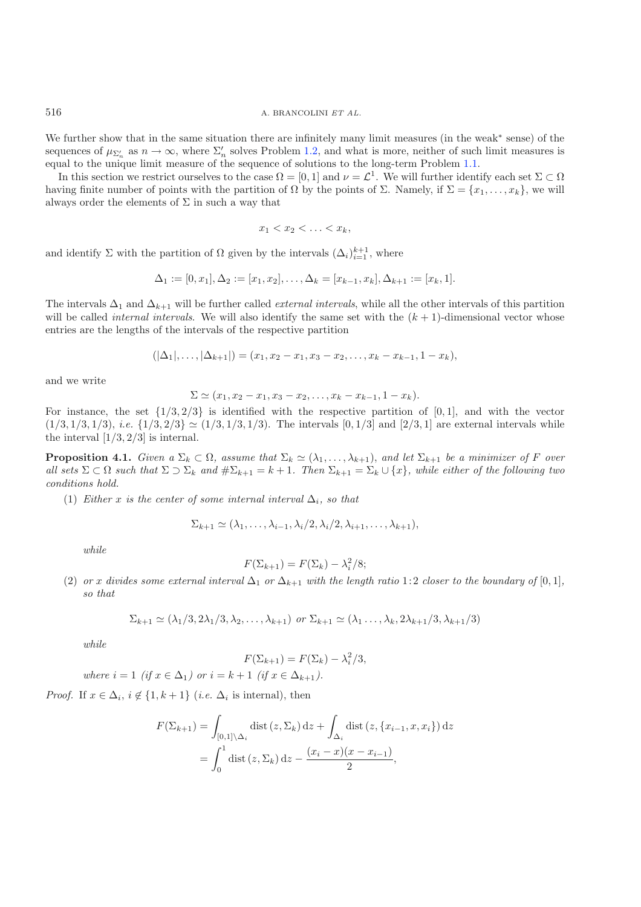<sup>516</sup> A. BRANCOLINI *ET AL.*

We further show that in the same situation there are infinitely many limit measures (in the weak<sup>∗</sup> sense) of the sequences of  $\mu_{\Sigma_n}$  as  $n \to \infty$ , where  $\Sigma_n'$  solves Problem [1.2,](#page-1-1) and what is more, neither of such limit measures is equal to the unique limit measure of the sequence of solutions to the long-term Problem [1.1.](#page-1-0)

In this section we restrict ourselves to the case  $\Omega = [0, 1]$  and  $\nu = \mathcal{L}^1$ . We will further identify each set  $\Sigma \subset \Omega$ having finite number of points with the partition of  $\Omega$  by the points of  $\Sigma$ . Namely, if  $\Sigma = \{x_1, \ldots, x_k\}$ , we will always order the elements of  $\Sigma$  in such a way that

$$
x_1 < x_2 < \ldots < x_k
$$

and identify  $\Sigma$  with the partition of  $\Omega$  given by the intervals  $(\Delta_i)_{i=1}^{k+1}$ , where

$$
\Delta_1 := [0, x_1], \Delta_2 := [x_1, x_2], \dots, \Delta_k = [x_{k-1}, x_k], \Delta_{k+1} := [x_k, 1].
$$

The intervals  $\Delta_1$  and  $\Delta_{k+1}$  will be further called *external intervals*, while all the other intervals of this partition will be called *internal intervals*. We will also identify the same set with the  $(k + 1)$ -dimensional vector whose entries are the lengths of the intervals of the respective partition

$$
(|\Delta_1|,\ldots,|\Delta_{k+1}|)=(x_1,x_2-x_1,x_3-x_2,\ldots,x_k-x_{k-1},1-x_k),
$$

and we write

$$
\Sigma \simeq (x_1, x_2 - x_1, x_3 - x_2, \dots, x_k - x_{k-1}, 1 - x_k).
$$

For instance, the set  $\{1/3, 2/3\}$  is identified with the respective partition of [0, 1], and with the vector  $(1/3, 1/3, 1/3), i.e. \{1/3, 2/3\} \simeq (1/3, 1/3, 1/3).$  The intervals  $[0, 1/3]$  and  $[2/3, 1]$  are external intervals while the interval  $[1/3, 2/3]$  is internal.

<span id="page-7-0"></span>**Proposition 4.1.** *Given a*  $\Sigma_k \subset \Omega$ *, assume that*  $\Sigma_k \simeq (\lambda_1, \ldots, \lambda_{k+1})$ *, and let*  $\Sigma_{k+1}$  *be a minimizer of* F *over all sets*  $\Sigma \subset \Omega$  *such that*  $\Sigma \supset \Sigma_k$  *and*  $\#\Sigma_{k+1} = k+1$ *. Then*  $\Sigma_{k+1} = \Sigma_k \cup \{x\}$ *, while either of the following two conditions hold.*

(1) *Either* x *is the center of some internal interval*  $\Delta_i$ *, so that* 

$$
\Sigma_{k+1} \simeq (\lambda_1, \ldots, \lambda_{i-1}, \lambda_i/2, \lambda_i/2, \lambda_{i+1}, \ldots, \lambda_{k+1}),
$$

*while*

$$
F(\Sigma_{k+1}) = F(\Sigma_k) - \lambda_i^2/8;
$$

(2) *or* x divides some external interval  $\Delta_1$  *or*  $\Delta_{k+1}$  *with the length ratio* 1:2 *closer to the boundary of* [0, 1]*, so that*

$$
\Sigma_{k+1} \simeq (\lambda_1/3, 2\lambda_1/3, \lambda_2, \dots, \lambda_{k+1}) \text{ or } \Sigma_{k+1} \simeq (\lambda_1 \dots, \lambda_k, 2\lambda_{k+1}/3, \lambda_{k+1}/3)
$$

*while*

$$
F(\Sigma_{k+1}) = F(\Sigma_k) - \lambda_i^2/3,
$$

*where*  $i = 1$  *(if*  $x \in \Delta_1$ *)* or  $i = k + 1$  *(if*  $x \in \Delta_{k+1}$ *).* 

*Proof.* If  $x \in \Delta_i$ ,  $i \notin \{1, k+1\}$  (*i.e.*  $\Delta_i$  is internal), then

$$
F(\Sigma_{k+1}) = \int_{[0,1]\setminus\Delta_i} \text{dist}(z,\Sigma_k) dz + \int_{\Delta_i} \text{dist}(z,\{x_{i-1},x,x_i\}) dz
$$

$$
= \int_0^1 \text{dist}(z,\Sigma_k) dz - \frac{(x_i - x)(x - x_{i-1})}{2},
$$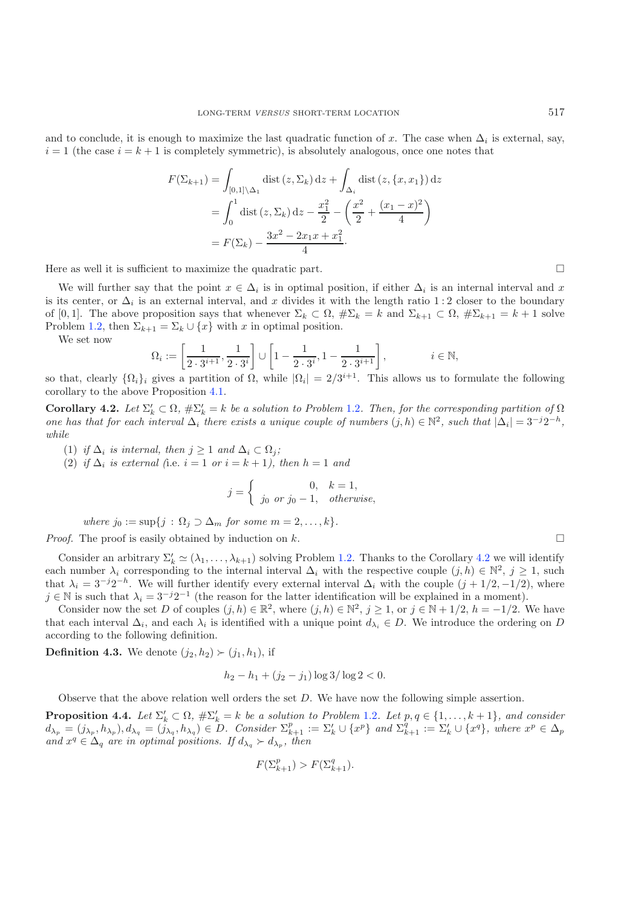and to conclude, it is enough to maximize the last quadratic function of x. The case when  $\Delta_i$  is external, say,  $i = 1$  (the case  $i = k + 1$  is completely symmetric), is absolutely analogous, once one notes that

$$
F(\Sigma_{k+1}) = \int_{[0,1] \setminus \Delta_1} \text{dist}(z, \Sigma_k) dz + \int_{\Delta_i} \text{dist}(z, \{x, x_1\}) dz
$$
  
= 
$$
\int_0^1 \text{dist}(z, \Sigma_k) dz - \frac{x_1^2}{2} - \left(\frac{x^2}{2} + \frac{(x_1 - x)^2}{4}\right)
$$
  
= 
$$
F(\Sigma_k) - \frac{3x^2 - 2x_1x + x_1^2}{4}.
$$

Here as well it is sufficient to maximize the quadratic part.  $\Box$ 

We will further say that the point  $x \in \Delta_i$  is in optimal position, if either  $\Delta_i$  is an internal interval and x is its center, or  $\Delta_i$  is an external interval, and x divides it with the length ratio 1:2 closer to the boundary of [0, 1]. The above proposition says that whenever  $\Sigma_k \subset \Omega$ ,  $\#\Sigma_k = k$  and  $\Sigma_{k+1} \subset \Omega$ ,  $\#\Sigma_{k+1} = k+1$  solve Problem [1.2,](#page-1-1) then  $\Sigma_{k+1} = \Sigma_k \cup \{x\}$  with x in optimal position.

We set now

$$
\Omega_i := \left[ \frac{1}{2 \cdot 3^{i+1}}, \frac{1}{2 \cdot 3^i} \right] \cup \left[ 1 - \frac{1}{2 \cdot 3^i}, 1 - \frac{1}{2 \cdot 3^{i+1}} \right], \qquad i \in \mathbb{N},
$$

<span id="page-8-0"></span>so that, clearly  $\{\Omega_i\}_i$  gives a partition of  $\Omega$ , while  $|\Omega_i| = 2/3^{i+1}$ . This allows us to formulate the following corollary to the above Proposition [4.1.](#page-7-0)

**Corollary 4.2.** Let  $\Sigma'_k \subset \Omega$ ,  $\#\Sigma'_k = k$  be a solution to Problem [1.2](#page-1-1). Then, for the corresponding partition of  $\Omega$ *one has that for each interval*  $\Delta_i$  *there exists a unique couple of numbers*  $(j, h) \in \mathbb{N}^2$ *, such that*  $|\Delta_i| = 3^{-j}2^{-h}$ *, while*

(1) *if*  $\Delta_i$  *is internal, then*  $j \geq 1$  *and*  $\Delta_i \subset \Omega_j$ *;* 

(2) *if*  $\Delta_i$  *is external* (i.e.  $i = 1$  *or*  $i = k + 1$ *), then*  $h = 1$  *and* 

$$
j = \begin{cases} 0, & k = 1, \\ j_0 \text{ or } j_0 - 1, & otherwise, \end{cases}
$$

*where*  $j_0 := \sup\{j : \Omega_j \supset \Delta_m \text{ for some } m = 2, \ldots, k\}.$ 

*Proof.* The proof is easily obtained by induction on k.

Consider an arbitrary  $\Sigma'_k \simeq (\lambda_1, \ldots, \lambda_{k+1})$  solving Problem [1.2.](#page-1-1) Thanks to the Corollary [4.2](#page-8-0) we will identify each number  $\lambda_i$  corresponding to the internal interval  $\Delta_i$  with the respective couple  $(j, h) \in \mathbb{N}^2$ ,  $j \geq 1$ , such that  $\lambda_i = 3^{-j}2^{-h}$ . We will further identify every external interval  $\Delta_i$  with the couple  $(j + 1/2, -1/2)$ , where  $j \in \mathbb{N}$  is such that  $\lambda_i = 3^{-j}2^{-1}$  (the reason for the latter identification will be explained in a moment).

Consider now the set D of couples  $(j, h) \in \mathbb{R}^2$ , where  $(j, h) \in \mathbb{N}^2$ ,  $j \geq 1$ , or  $j \in \mathbb{N} + 1/2$ ,  $h = -1/2$ . We have that each interval  $\Delta_i$ , and each  $\lambda_i$  is identified with a unique point  $d_{\lambda_i} \in D$ . We introduce the ordering on D according to the following definition.

**Definition 4.3.** We denote  $(j_2, h_2) \succ (j_1, h_1)$ , if

$$
h_2 - h_1 + (j_2 - j_1) \log 3 / \log 2 < 0.
$$

Observe that the above relation well orders the set D. We have now the following simple assertion.

<span id="page-8-1"></span>**Proposition 4.4.** Let  $\Sigma'_k \subset \Omega$ ,  $\#\Sigma'_k = k$  be a solution to Problem [1.2](#page-1-1). Let  $p, q \in \{1, ..., k+1\}$ , and consider  $d_{\lambda_p} = (j_{\lambda_p}, h_{\lambda_p}), d_{\lambda_q} = (j_{\lambda_q}, h_{\lambda_q}) \in D$ . Consider  $\Sigma_{k+1}^p := \Sigma_k' \cup \{x^p\}$  and  $\Sigma_{k+1}^q := \Sigma_k' \cup \{x^q\}$ , where  $x^p \in \Delta_p$ <br>and  $x^q \in \Delta$  are in optimal positions. If  $d_{\lambda_p} \succ d_{\lambda_p}$  then *and*  $x^q \in \Delta_q$  *are in optimal positions. If*  $d_{\lambda_q} \succ d_{\lambda_p}$ , *then* 

$$
F(\Sigma_{k+1}^p) > F(\Sigma_{k+1}^q).
$$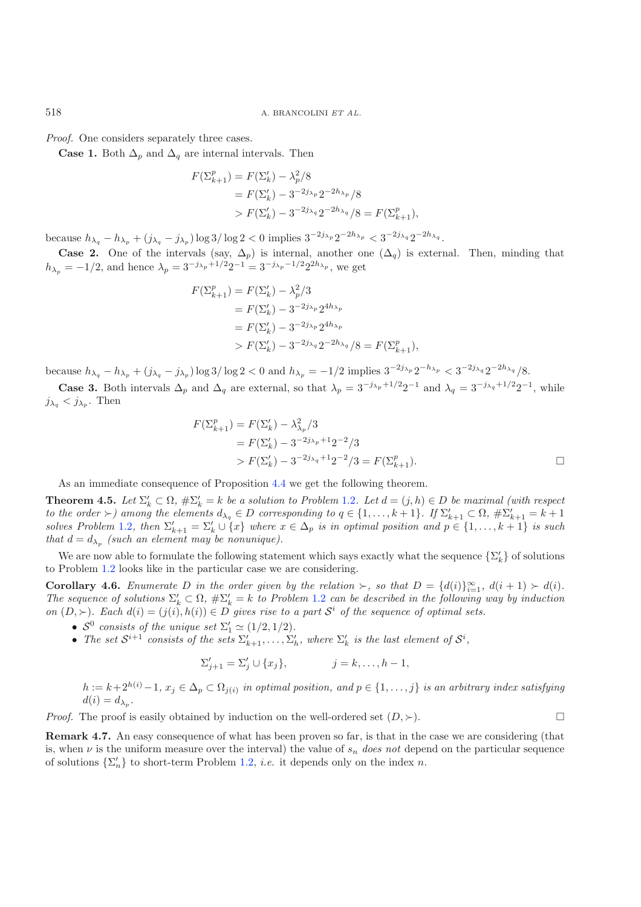<sup>518</sup> A. BRANCOLINI *ET AL.*

*Proof.* One considers separately three cases.

**Case 1.** Both  $\Delta_p$  and  $\Delta_q$  are internal intervals. Then

$$
F(\Sigma_{k+1}^p) = F(\Sigma_k') - \lambda_p^2 / 8
$$
  
=  $F(\Sigma_k') - 3^{-2j_{\lambda_p}} 2^{-2h_{\lambda_p}} / 8$   
>  $F(\Sigma_k') - 3^{-2j_{\lambda_q}} 2^{-2h_{\lambda_q}} / 8 = F(\Sigma_{k+1}^p),$ 

because h<sup>λ</sup>*<sup>q</sup>* − h<sup>λ</sup>*<sup>p</sup>* + (j<sup>λ</sup>*<sup>q</sup>* − j<sup>λ</sup>*<sup>p</sup>* ) log 3/ log 2 < 0 implies 3−2j*λp* 2−2h*λp* < 3−2j*λq* 2−2h*λq* .

**Case 2.** One of the intervals (say,  $\Delta_p$ ) is internal, another one  $(\Delta_q)$  is external. Then, minding that  $h_{\lambda_p} = -1/2$ , and hence  $\lambda_p = 3^{-j_{\lambda_p}+1/2}2^{-1} = 3^{-j_{\lambda_p}-1/2}2^{2h_{\lambda_p}}$ , we get

$$
F(\Sigma_{k+1}^p) = F(\Sigma_k') - \lambda_p^2 / 3
$$
  
=  $F(\Sigma_k') - 3^{-2j_{\lambda_p}} 2^{4h_{\lambda_p}}$   
=  $F(\Sigma_k') - 3^{-2j_{\lambda_p}} 2^{4h_{\lambda_p}}$   
>  $F(\Sigma_k') - 3^{-2j_{\lambda_q}} 2^{-2h_{\lambda_q}} / 8 = F(\Sigma_{k+1}^p),$ 

because  $h_{\lambda_q} - h_{\lambda_p} + (j_{\lambda_q} - j_{\lambda_p}) \log 3 / \log 2 < 0$  and  $h_{\lambda_p} = -1/2$  implies  $3^{-2j_{\lambda_p}} 2^{-h_{\lambda_p}} < 3^{-2j_{\lambda_q}} 2^{-2h_{\lambda_q}} / 8$ .

**Case 3.** Both intervals  $\Delta_p$  and  $\Delta_q$  are external, so that  $\lambda_p = 3^{-j_{\lambda_p}+1/2}2^{-1}$  and  $\lambda_q = 3^{-j_{\lambda_q}+1/2}2^{-1}$ , while  $j_{\lambda_q} < j_{\lambda_p}$ . Then

$$
F(\Sigma_{k+1}^p) = F(\Sigma_k') - \lambda_{\lambda_p}^2 / 3
$$
  
=  $F(\Sigma_k') - 3^{-2j_{\lambda_p}+1} 2^{-2} / 3$   
>  $F(\Sigma_k') - 3^{-2j_{\lambda_q}+1} 2^{-2} / 3 = F(\Sigma_{k+1}^p).$ 

As an immediate consequence of Proposition [4.4](#page-8-1) we get the following theorem.

<span id="page-9-0"></span>**Theorem 4.5.** Let  $\Sigma'_k \subset \Omega$ ,  $\#\Sigma'_k = k$  be a solution to Problem [1.2](#page-1-1). Let  $d = (j, h) \in D$  be maximal (with respect *to the order*  $\succ$ ) among the elements  $d_{\lambda_q} \in D$  *corresponding to*  $q \in \{1, \ldots, k+1\}$ *. If*  $\Sigma'_{k+1} \subset \Omega$ ,  $\# \Sigma'_{k+1} = k+1$  selection and  $p \in \{1, \ldots, k+1\}$  is each  $k+1$  is each  $k+1$ . *solves Problem* [1.2](#page-1-1), then  $\Sigma'_{k+1} = \Sigma'_{k} \cup \{x\}$  where  $x \in \Delta_p$  *is in optimal position and*  $p \in \{1, \ldots, k+1\}$  *is such* that  $d - d$ , (such an element may be nonunique) *that*  $d = d_{\lambda_p}$  *(such an element may be nonunique).* 

<span id="page-9-1"></span>We are now able to formulate the following statement which says exactly what the sequence  $\{\Sigma_k'\}$  of solutions to Problem [1.2](#page-1-1) looks like in the particular case we are considering.

**Corollary 4.6.** *Enumerate* D *in the order given by the relation*  $\succ$ , so that  $D = \{d(i)\}_{i=1}^{\infty}$ ,  $d(i+1) \succ d(i)$ .<br>The sequence of solutions  $\sum_{i=1}^{i} C_i Q_i + \sum_{j=1}^{i} L_j P_j$  and the description the following way by induc The sequence of solutions  $\Sigma'_k \subset \Omega$ ,  $\#\Sigma'_k = k$  to Problem [1.2](#page-1-1) can be described in the following way by induction *on*  $(D, \succ)$ *. Each*  $d(i) = (j(i), h(i)) \in D$  *gives rise to a part*  $S<sup>i</sup>$  *of the sequence of optimal sets.* 

- $S^0$  consists of the unique set  $\Sigma'_1 \simeq (1/2, 1/2)$ .<br>
The set  $S^{i+1}$  consists of the sets  $S'$
- The set  $S^{i+1}$  consists of the sets  $\Sigma'_{k+1}, \ldots, \Sigma'_{h}$ , where  $\Sigma'_{k}$  is the last element of  $S^{i}$ ,

$$
\Sigma'_{j+1} = \Sigma'_{j} \cup \{x_j\}, \qquad j = k, \dots, h-1,
$$

 $h := k + 2^{h(i)} - 1$ ,  $x_j \in \Delta_p \subset \Omega_{j(i)}$  *in optimal position, and*  $p \in \{1, \ldots, j\}$  *is an arbitrary index satisfying*  $d(i) = d_{\lambda_p}$ .

*Proof.* The proof is easily obtained by induction on the well-ordered set  $(D, \succ)$ .

**Remark 4.7.** An easy consequence of what has been proven so far, is that in the case we are considering (that is, when  $\nu$  is the uniform measure over the interval) the value of  $s_n$  does not depend on the particular sequence of solutions  $\{\Sigma'_n\}$  to short-term Problem [1.2,](#page-1-1) *i.e.* it depends only on the index *n*.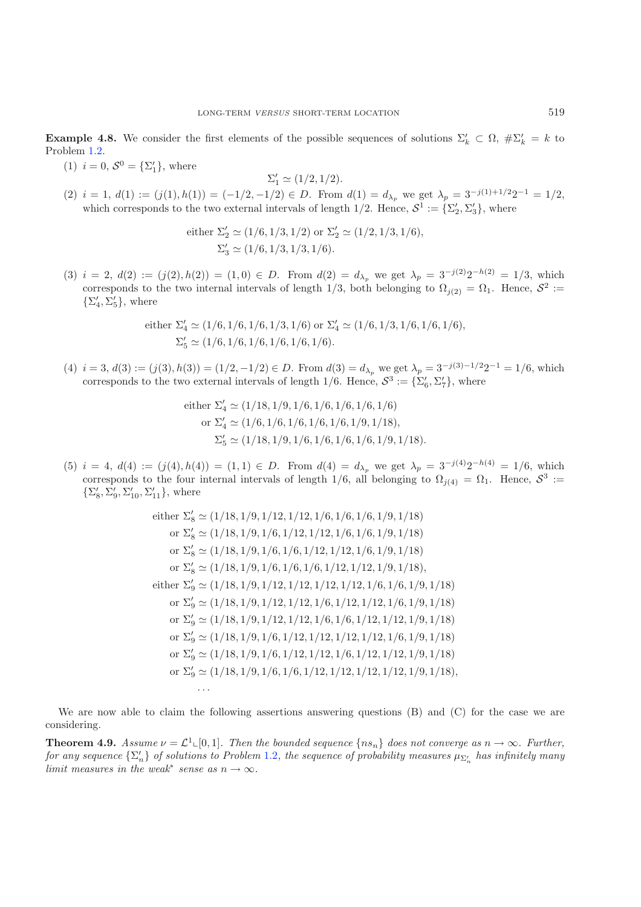**Example 4.8.** We consider the first elements of the possible sequences of solutions  $\Sigma'_k \subset \Omega$ ,  $\# \Sigma'_k = k$  to Problem [1.2.](#page-1-1)

(1)  $i = 0, S^0 = {\Sigma'_1},$  where

$$
\Sigma_1' \simeq (1/2, 1/2).
$$

(2)  $i = 1, d(1) := (j(1), h(1)) = (-1/2, -1/2) \in D$ . From  $d(1) = d_{\lambda_p}$  we get  $\lambda_p = 3^{-j(1)+1/2}2^{-1} = 1/2$ , which corresponds to the two external intervals of length  $1/2$ . Hence,  $S^1 := \{\Sigma'_2, \Sigma'_3\}$ , where

either 
$$
\Sigma'_2 \simeq (1/6, 1/3, 1/2)
$$
 or  $\Sigma'_2 \simeq (1/2, 1/3, 1/6)$ ,  
 $\Sigma'_3 \simeq (1/6, 1/3, 1/3, 1/6)$ .

(3)  $i = 2$ ,  $d(2) := (j(2), h(2)) = (1, 0) \in D$ . From  $d(2) = d_{\lambda_p}$  we get  $\lambda_p = 3^{-j(2)}2^{-h(2)} = 1/3$ , which corresponds to the two internal intervals of length 1/3, both belonging to  $\Omega_{i(2)} = \Omega_1$ . Hence,  $S^2$  :=  $\{\Sigma_4', \Sigma_5'\},$  where

either 
$$
\Sigma'_4 \simeq (1/6, 1/6, 1/6, 1/3, 1/6)
$$
 or  $\Sigma'_4 \simeq (1/6, 1/3, 1/6, 1/6, 1/6)$ ,  
 $\Sigma'_5 \simeq (1/6, 1/6, 1/6, 1/6, 1/6, 1/6)$ .

(4)  $i = 3, d(3) := (j(3), h(3)) = (1/2, -1/2) \in D$ . From  $d(3) = d_{\lambda_p}$  we get  $\lambda_p = 3^{-j(3)-1/2}2^{-1} = 1/6$ , which corresponds to the two external intervals of length  $1/6$ . Hence,  $S^3 := \{\Sigma'_6, \Sigma'_7\}$ , where

either 
$$
\Sigma'_4 \simeq (1/18, 1/9, 1/6, 1/6, 1/6, 1/6, 1/6)
$$
  
or  $\Sigma'_4 \simeq (1/6, 1/6, 1/6, 1/6, 1/6, 1/9, 1/18)$ ,  
 $\Sigma'_5 \simeq (1/18, 1/9, 1/6, 1/6, 1/6, 1/6, 1/9, 1/18)$ .

(5)  $i = 4$ ,  $d(4) := (j(4), h(4)) = (1, 1) \in D$ . From  $d(4) = d_{\lambda_p}$  we get  $\lambda_p = 3^{-j(4)}2^{-h(4)} = 1/6$ , which corresponds to the four internal intervals of length 1/6, all belonging to  $\Omega_{j(4)} = \Omega_1$ . Hence,  $S^3$  :=  $\{\Sigma_8', \Sigma_9', \Sigma_{10}', \Sigma_{11}'\}$ , where

either 
$$
\Sigma_8' \simeq (1/18, 1/9, 1/12, 1/12, 1/6, 1/6, 1/6, 1/9, 1/18)
$$
  
\nor  $\Sigma_8' \simeq (1/18, 1/9, 1/6, 1/12, 1/12, 1/6, 1/9, 1/18)$   
\nor  $\Sigma_8' \simeq (1/18, 1/9, 1/6, 1/6, 1/12, 1/12, 1/6, 1/9, 1/18)$   
\nor  $\Sigma_8' \simeq (1/18, 1/9, 1/6, 1/6, 1/12, 1/12, 1/9, 1/18)$ ,  
\neither  $\Sigma_9' \simeq (1/18, 1/9, 1/12, 1/12, 1/12, 1/12, 1/6, 1/6, 1/9, 1/18)$   
\nor  $\Sigma_9' \simeq (1/18, 1/9, 1/12, 1/12, 1/6, 1/12, 1/12, 1/6, 1/9, 1/18)$   
\nor  $\Sigma_9' \simeq (1/18, 1/9, 1/12, 1/12, 1/6, 1/6, 1/12, 1/12, 1/9, 1/18)$   
\nor  $\Sigma_9' \simeq (1/18, 1/9, 1/6, 1/12, 1/12, 1/12, 1/12, 1/6, 1/9, 1/18)$   
\nor  $\Sigma_9' \simeq (1/18, 1/9, 1/6, 1/12, 1/12, 1/6, 1/12, 1/12, 1/9, 1/18)$   
\nor  $\Sigma_9' \simeq (1/18, 1/9, 1/6, 1/12, 1/12, 1/12, 1/12, 1/9, 1/18)$   
\nor  $\Sigma_9' \simeq (1/18, 1/9, 1/6, 1/12, 1/12, 1/12, 1/12, 1/9, 1/18)$ ,  
\n...

<span id="page-10-0"></span>We are now able to claim the following assertions answering questions (B) and (C) for the case we are considering.

**Theorem 4.9.** *Assume*  $\nu = \mathcal{L}^1 \llcorner [0,1]$ *. Then the bounded sequence*  $\{ns_n\}$  *does not converge as*  $n \to \infty$ *. Further, for any sequence*  $\{\Sigma'_n\}$  *of solutions to Problem* [1.2](#page-1-1), the sequence of probability measures  $\mu_{\Sigma'_n}$  has infinitely many *limit measures in the weak<sup>\*</sup> sense as*  $n \to \infty$ *.*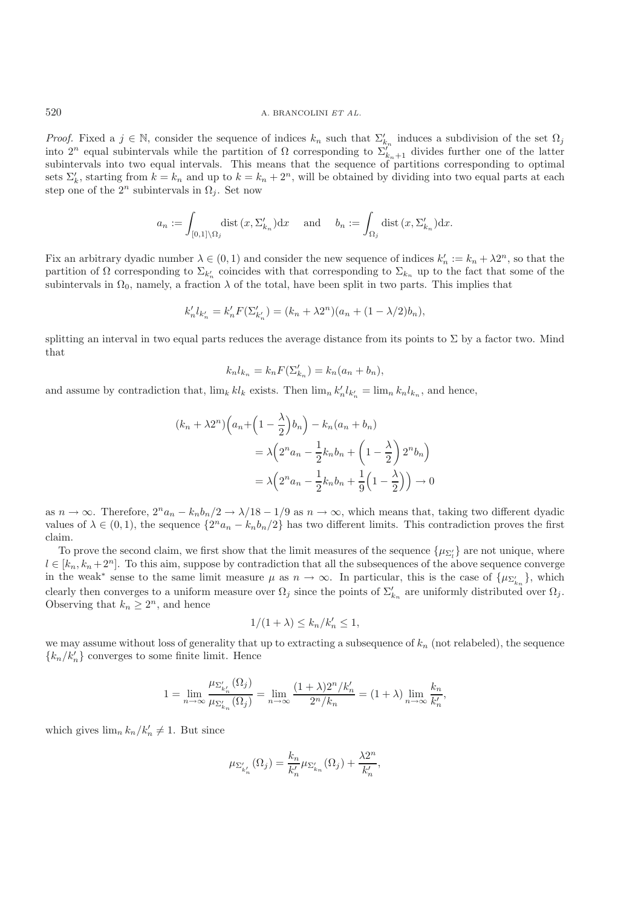*Proof.* Fixed a  $j \in \mathbb{N}$ , consider the sequence of indices  $k_n$  such that  $\Sigma'_{k_n}$  induces a subdivision of the set  $\Omega_j$ into 2<sup>n</sup> equal subintervals while the partition of Ω corresponding to  $\Sigma_{k_{n+1}}^{n}$  divides further one of the latter subintervals into two equal intervals. This means that the sequence of partitions corresponding to optimal sets  $\Sigma'_k$ , starting from  $k = k_n$  and up to  $k = k_n + 2^n$ , will be obtained by dividing into two equal parts at each step one of the  $2^n$  subintervals in  $\Omega_j$ . Set now

$$
a_n := \int_{[0,1]\setminus\Omega_j} \operatorname{dist}(x, \Sigma'_{k_n}) dx \quad \text{and} \quad b_n := \int_{\Omega_j} \operatorname{dist}(x, \Sigma'_{k_n}) dx.
$$

Fix an arbitrary dyadic number  $\lambda \in (0, 1)$  and consider the new sequence of indices  $k'_n := k_n + \lambda 2^n$ , so that the partition of  $\Omega$  corresponding to  $\Sigma_{k'_n}$  coincides with that corresponding to  $\Sigma_{k_n}$  up to the fact that some of the subintervals in  $\Omega_0$ , namely, a fraction  $\lambda$  of the total, have been split in two parts. This implies that

$$
k'_{n}l_{k'_{n}} = k'_{n}F(\Sigma'_{k'_{n}}) = (k_{n} + \lambda 2^{n})(a_{n} + (1 - \lambda/2)b_{n}),
$$

splitting an interval in two equal parts reduces the average distance from its points to  $\Sigma$  by a factor two. Mind that

$$
k_n l_{k_n} = k_n F(\Sigma'_{k_n}) = k_n (a_n + b_n),
$$

and assume by contradiction that,  $\lim_k k l_k$  exists. Then  $\lim_k k'_n l_{k'_n} = \lim_k k_n l_{k_n}$ , and hence,

$$
(k_n + \lambda 2^n) \left( a_n + \left( 1 - \frac{\lambda}{2} \right) b_n \right) - k_n (a_n + b_n)
$$
  
=  $\lambda \left( 2^n a_n - \frac{1}{2} k_n b_n + \left( 1 - \frac{\lambda}{2} \right) 2^n b_n \right)$   
=  $\lambda \left( 2^n a_n - \frac{1}{2} k_n b_n + \frac{1}{9} \left( 1 - \frac{\lambda}{2} \right) \right) \to 0$ 

as  $n \to \infty$ . Therefore,  $2^n a_n - k_n b_n/2 \to \lambda/18 - 1/9$  as  $n \to \infty$ , which means that, taking two different dyadic values of  $\lambda \in (0,1)$ , the sequence  $\{2^n a_n - k_n b_n/2\}$  has two different limits. This contradiction proves the first claim.

To prove the second claim, we first show that the limit measures of the sequence  $\{\mu_{\Sigma'_l}\}$  are not unique, where  $l \in [k_n, k_n + 2^n]$ . To this aim, suppose by contradiction that all the subsequences of the above sequence converge in the weak<sup>∗</sup> sense to the same limit measure  $\mu$  as  $n \to \infty$ . In particular, this is the case of  $\{\mu_{\Sigma'_i}\}$  $\{k_n\}$ , which clearly then converges to a uniform measure over  $\Omega_j$  since the points of  $\Sigma'_{k_n}$  are uniformly distributed over  $\Omega_j$ . Observing that  $k_n \geq 2^n$ , and hence

$$
1/(1+\lambda) \le k_n/k'_n \le 1,
$$

we may assume without loss of generality that up to extracting a subsequence of  $k_n$  (not relabeled), the sequence  ${k_n/k'_n}$  converges to some finite limit. Hence

$$
1 = \lim_{n \to \infty} \frac{\mu_{\Sigma'_{k_n}}(\Omega_j)}{\mu_{\Sigma'_{k_n}}(\Omega_j)} = \lim_{n \to \infty} \frac{(1+\lambda)2^n/k'_n}{2^n/k_n} = (1+\lambda) \lim_{n \to \infty} \frac{k_n}{k'_n},
$$

which gives  $\lim_{n} k_n / k'_n \neq 1$ . But since

$$
\mu_{\Sigma'_{k'_n}}(\Omega_j)=\frac{k_n}{k'_n}\mu_{\Sigma'_{k_n}}(\Omega_j)+\frac{\lambda 2^n}{k'_n},
$$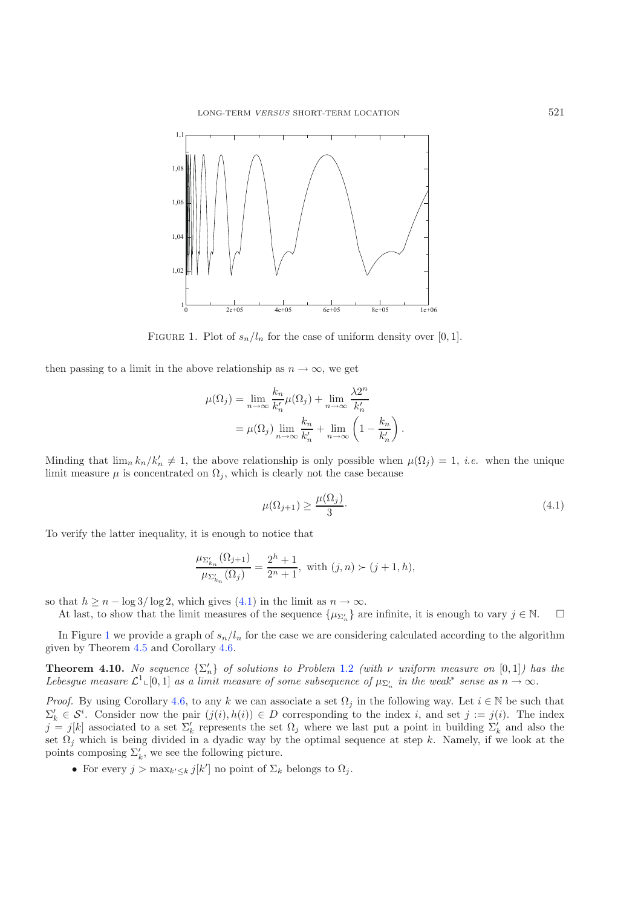<span id="page-12-1"></span>

<span id="page-12-0"></span>FIGURE 1. Plot of  $s_n/l_n$  for the case of uniform density over [0, 1].

then passing to a limit in the above relationship as  $n \to \infty$ , we get

$$
\mu(\Omega_j) = \lim_{n \to \infty} \frac{k_n}{k'_n} \mu(\Omega_j) + \lim_{n \to \infty} \frac{\lambda 2^n}{k'_n}
$$

$$
= \mu(\Omega_j) \lim_{n \to \infty} \frac{k_n}{k'_n} + \lim_{n \to \infty} \left(1 - \frac{k_n}{k'_n}\right).
$$

Minding that  $\lim_{n} k_n / k'_n \neq 1$ , the above relationship is only possible when  $\mu(\Omega_j) = 1$ , *i.e.* when the unique limit measure  $\mu$  is concentrated on  $\Omega_i$ , which is clearly not the case because

$$
\mu(\Omega_{j+1}) \ge \frac{\mu(\Omega_j)}{3}.\tag{4.1}
$$

To verify the latter inequality, it is enough to notice that

$$
\frac{\mu_{\Sigma'_{k_n}}(\Omega_{j+1})}{\mu_{\Sigma'_{k_n}}(\Omega_j)} = \frac{2^h + 1}{2^n + 1}, \text{ with } (j, n) \succ (j+1, h),
$$

so that  $h \ge n - \log 3/\log 2$ , which gives [\(4.1\)](#page-12-0) in the limit as  $n \to \infty$ .

At last, to show that the limit measures of the sequence  $\{\mu_{\Sigma'_n}\}$  are infinite, it is enough to vary  $j \in \mathbb{N}$ .  $\Box$ 

<span id="page-12-2"></span>In Figure [1](#page-12-1) we provide a graph of  $s_n/l_n$  for the case we are considering calculated according to the algorithm given by Theorem [4.5](#page-9-0) and Corollary [4.6.](#page-9-1)

**Theorem 4.10.** No sequence  $\{\Sigma'_n\}$  of solutions to Problem [1.2](#page-1-1) *(with*  $\nu$  *uniform measure on* [0,1]*)* has the *Lebesgue measure*  $\mathcal{L}^1 \llcorner [0,1]$  *as a limit measure of some subsequence of*  $\mu_{\Sigma'_n}$  *in the weak\* sense as*  $n \to \infty$ *.* 

*Proof.* By using Corollary [4.6,](#page-9-1) to any k we can associate a set  $\Omega_j$  in the following way. Let  $i \in \mathbb{N}$  be such that  $\Sigma'_k \in \mathcal{S}^i$ . Consider now the pair  $(j(i), h(i)) \in D$  corresponding to the index i, and set  $j := j(i)$ . The index  $j = j[k]$  associated to a set  $\Sigma'_k$  represents the set  $\Omega_j$  where we last put a point in building  $\Sigma'_k$  and also the set  $\Omega_j$  which is being divided in a dyadic way by the optimal sequence at step k. Namely, if we look at the points composing  $\Sigma'_{k}$ , we see the following picture.

• For every  $j > \max_{k' \leq k} j[k']$  no point of  $\Sigma_k$  belongs to  $\Omega_j$ .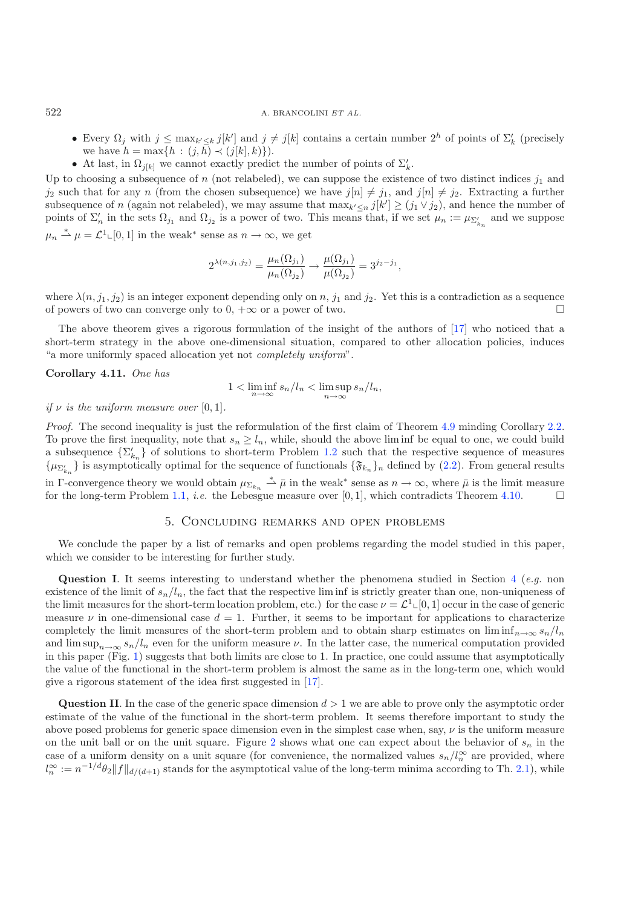- Every  $\Omega_j$  with  $j \leq \max_{k' \leq k} j[k']$  and  $j \neq j[k]$  contains a certain number  $2^h$  of points of  $\Sigma'_k$  (precisely we have  $h = \max\{h : (j, h) \prec (j[k], k)\}\)$ .
- At last, in  $\Omega_{j[k]}$  we cannot exactly predict the number of points of  $\Sigma'_{k}$ .

Up to choosing a subsequence of n (not relabeled), we can suppose the existence of two distinct indices  $j_1$  and  $j_2$  such that for any n (from the chosen subsequence) we have  $j[n] \neq j_1$ , and  $j[n] \neq j_2$ . Extracting a further subsequence of n (again not relabeled), we may assume that  $\max_{k' \leq n} j[k'] \geq (j_1 \vee j_2)$ , and hence the number of neighborhood is a person of two This peace that if we get use the number of points of  $\Sigma'_n$  in the sets  $\Omega_{j_1}$  and  $\Omega_{j_2}$  is a power of two. This means that, if we set  $\mu_n := \mu_{\Sigma'_{k_n}}$  and we suppose  $\mu_n \stackrel{*}{\rightharpoonup} \mu = \mathcal{L}^1 \llcorner [0,1]$  in the weak<sup>\*</sup> sense as  $n \to \infty$ , we get

$$
2^{\lambda(n,j_1,j_2)} = \frac{\mu_n(\Omega_{j_1})}{\mu_n(\Omega_{j_2})} \to \frac{\mu(\Omega_{j_1})}{\mu(\Omega_{j_2})} = 3^{j_2 - j_1},
$$

where  $\lambda(n, j_1, j_2)$  is an integer exponent depending only on n,  $j_1$  and  $j_2$ . Yet this is a contradiction as a sequence of powers of two can converge only to  $0, +\infty$  or a power of two. of powers of two can converge only to  $0, +\infty$  or a power of two.

The above theorem gives a rigorous formulation of the insight of the authors of [\[17](#page-15-3)] who noticed that a short-term strategy in the above one-dimensional situation, compared to other allocation policies, induces "a more uniformly spaced allocation yet not *completely uniform*".

#### **Corollary 4.11.** *One has*

$$
1 < \liminf_{n \to \infty} s_n/l_n < \limsup_{n \to \infty} s_n/l_n,
$$

### *if*  $\nu$  *is the uniform measure over* [0, 1]*.*

*Proof.* The second inequality is just the reformulation of the first claim of Theorem [4.9](#page-10-0) minding Corollary [2.2.](#page-3-0) To prove the first inequality, note that  $s_n \geq l_n$ , while, should the above liminf be equal to one, we could build a subsequence  $\{\Sigma'_{k_n}\}\$  of solutions to short-term Problem [1.2](#page-1-1) such that the respective sequence of measures  $\{\mu_{\Sigma'_{k_n}}\}$  is asymptotically optimal for the sequence of functionals  $\{\mathfrak{F}_{k_n}\}_n$  defined by [\(2.2\)](#page-2-2). From general results in Γ-convergence theory we would obtain  $\mu_{\Sigma_{k_n}} \stackrel{*}{\to} \bar{\mu}$  in the weak<sup>\*</sup> sense as  $n \to \infty$ , where  $\bar{\mu}$  is the limit measure for the long-term Problem [1.1,](#page-1-0) *i.e.* the Lebesgue measure over [0, 1], which contradicts Theorem [4.10.](#page-12-2)

#### 5. Concluding remarks and open problems

We conclude the paper by a list of remarks and open problems regarding the model studied in this paper, which we consider to be interesting for further study.

**Question I**. It seems interesting to understand whether the phenomena studied in Section [4](#page-6-0) (*e.g.* non existence of the limit of  $s_n/l_n$ , the fact that the respective limin is strictly greater than one, non-uniqueness of the limit measures for the short-term location problem, etc.) for the case  $\nu = \mathcal{L}^1\llcorner [0,1]$  occur in the case of generic measure  $\nu$  in one-dimensional case  $d = 1$ . Further, it seems to be important for applications to characterize completely the limit measures of the short-term problem and to obtain sharp estimates on  $\liminf_{n\to\infty} s_n/l_n$ and  $\limsup_{n\to\infty} s_n/l_n$  even for the uniform measure  $\nu$ . In the latter case, the numerical computation provided in this paper (Fig. [1\)](#page-12-1) suggests that both limits are close to 1. In practice, one could assume that asymptotically the value of the functional in the short-term problem is almost the same as in the long-term one, which would give a rigorous statement of the idea first suggested in [\[17\]](#page-15-3).

**Question II**. In the case of the generic space dimension  $d > 1$  we are able to prove only the asymptotic order estimate of the value of the functional in the short-term problem. It seems therefore important to study the above posed problems for generic space dimension even in the simplest case when, say,  $\nu$  is the uniform measure on the unit ball or on the unit square. Figure [2](#page-14-0) shows what one can expect about the behavior of  $s_n$  in the case of a uniform density on a unit square (for convenience, the normalized values  $s_n/l_n^{\infty}$  are provided, where  $l_n^{\infty} := n^{-1/d} \theta_2 ||f||_{d/(d+1)}$  stands for the asymptotical value of the long-term minima according to Th. [2.1\)](#page-2-3), while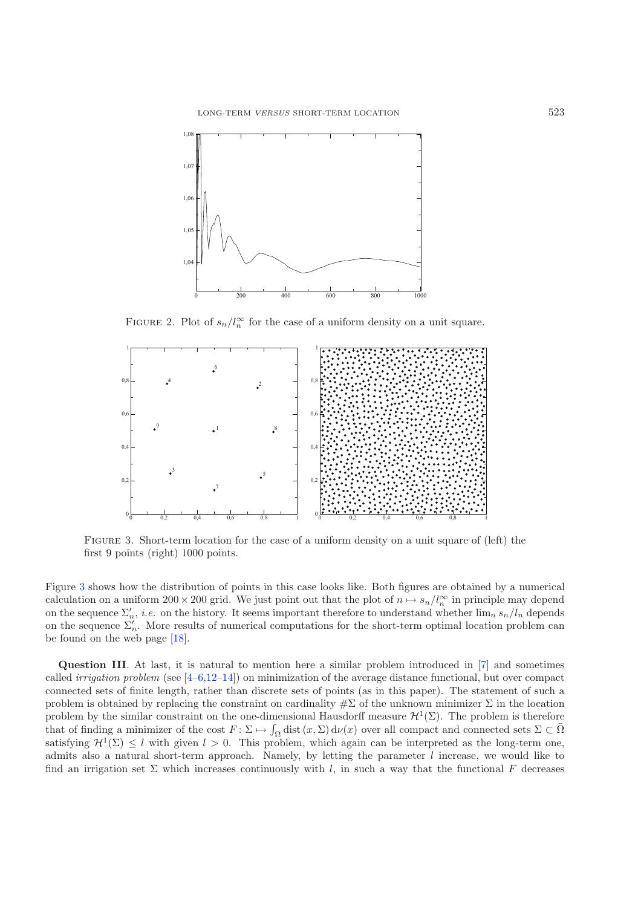<span id="page-14-0"></span>

FIGURE 2. Plot of  $s_n/l_n^{\infty}$  for the case of a uniform density on a unit square.

<span id="page-14-1"></span>

Figure 3. Short-term location for the case of a uniform density on a unit square of (left) the first 9 points (right) 1000 points.

Figure [3](#page-14-1) shows how the distribution of points in this case looks like. Both figures are obtained by a numerical calculation on a uniform  $200 \times 200$  grid. We just point out that the plot of  $n \mapsto s_n/l_n^{\infty}$  in principle may depend on the sequence  $\Sigma'_n$ , *i.e.* on the history. It seems important therefore to understand whether  $\lim_{n} s_n/l_n$  depends on the sequence  $\Sigma_n'$ . More results of numerical computations for the short-term optimal location problem can be found on the web page [\[18\]](#page-15-8).

**Question III**. At last, it is natural to mention here a similar problem introduced in [\[7](#page-15-9)] and sometimes called *irrigation problem* (see [\[4](#page-15-10)[–6](#page-15-11)[,12](#page-15-12)[–14](#page-15-13)]) on minimization of the average distance functional, but over compact connected sets of finite length, rather than discrete sets of points (as in this paper). The statement of such a problem is obtained by replacing the constraint on cardinality  $\#\Sigma$  of the unknown minimizer  $\Sigma$  in the location problem by the similar constraint on the one-dimensional Hausdorff measure  $\mathcal{H}^1(\Sigma)$ . The problem is therefore that of finding a minimizer of the cost  $F: \Sigma \mapsto \int_{\Omega} \text{dist}(x, \Sigma) d\nu(x)$  over all compact and connected sets  $\Sigma \subset \overline{\Omega}$ <br>satisfying  $\mathcal{H}^1(\Sigma) \leq l$  with given  $l > 0$ . This problem, which again can be interpreted as the l satisfying  $\mathcal{H}^1(\Sigma) \leq l$  with given  $l > 0$ . This problem, which again can be interpreted as the long-term one, admits also a natural short-term approach. Namely, by letting the parameter  $l$  increase, we would like to find an irrigation set  $\Sigma$  which increases continuously with l, in such a way that the functional F decreases